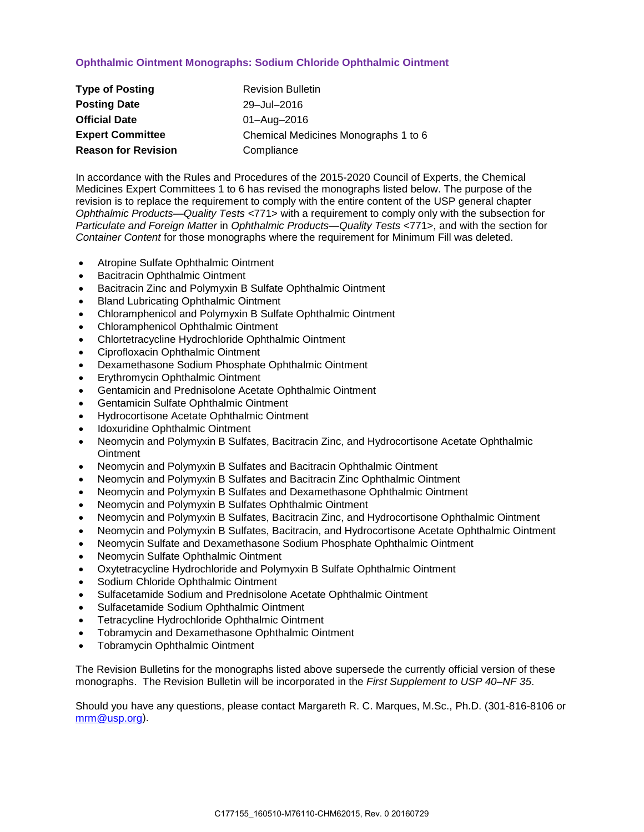### **Ophthalmic Ointment Monographs: Sodium Chloride Ophthalmic Ointment**

| <b>Type of Posting</b>     | <b>Revision Bulletin</b>             |
|----------------------------|--------------------------------------|
| <b>Posting Date</b>        | 29-Jul-2016                          |
| <b>Official Date</b>       | 01-Aug-2016                          |
| <b>Expert Committee</b>    | Chemical Medicines Monographs 1 to 6 |
| <b>Reason for Revision</b> | Compliance                           |

In accordance with the Rules and Procedures of the 2015-2020 Council of Experts, the Chemical Medicines Expert Committees 1 to 6 has revised the monographs listed below. The purpose of the revision is to replace the requirement to comply with the entire content of the USP general chapter *Ophthalmic Products—Quality Tests* <771> with a requirement to comply only with the subsection for *Particulate and Foreign Matter* in *Ophthalmic Products—Quality Tests* <771>, and with the section for *Container Content* for those monographs where the requirement for Minimum Fill was deleted.

- Atropine Sulfate Ophthalmic Ointment
- Bacitracin Ophthalmic Ointment
- Bacitracin Zinc and Polymyxin B Sulfate Ophthalmic Ointment
- Bland Lubricating Ophthalmic Ointment
- Chloramphenicol and Polymyxin B Sulfate Ophthalmic Ointment
- Chloramphenicol Ophthalmic Ointment
- Chlortetracycline Hydrochloride Ophthalmic Ointment
- Ciprofloxacin Ophthalmic Ointment
- Dexamethasone Sodium Phosphate Ophthalmic Ointment
- Erythromycin Ophthalmic Ointment
- Gentamicin and Prednisolone Acetate Ophthalmic Ointment
- Gentamicin Sulfate Ophthalmic Ointment
- Hydrocortisone Acetate Ophthalmic Ointment
- Idoxuridine Ophthalmic Ointment
- Neomycin and Polymyxin B Sulfates, Bacitracin Zinc, and Hydrocortisone Acetate Ophthalmic **Ointment**
- Neomycin and Polymyxin B Sulfates and Bacitracin Ophthalmic Ointment
- Neomycin and Polymyxin B Sulfates and Bacitracin Zinc Ophthalmic Ointment
- Neomycin and Polymyxin B Sulfates and Dexamethasone Ophthalmic Ointment
- Neomycin and Polymyxin B Sulfates Ophthalmic Ointment
- Neomycin and Polymyxin B Sulfates, Bacitracin Zinc, and Hydrocortisone Ophthalmic Ointment
- Neomycin and Polymyxin B Sulfates, Bacitracin, and Hydrocortisone Acetate Ophthalmic Ointment
- Neomycin Sulfate and Dexamethasone Sodium Phosphate Ophthalmic Ointment
- Neomycin Sulfate Ophthalmic Ointment
- Oxytetracycline Hydrochloride and Polymyxin B Sulfate Ophthalmic Ointment
- Sodium Chloride Ophthalmic Ointment
- Sulfacetamide Sodium and Prednisolone Acetate Ophthalmic Ointment
- Sulfacetamide Sodium Ophthalmic Ointment
- Tetracycline Hydrochloride Ophthalmic Ointment
- Tobramycin and Dexamethasone Ophthalmic Ointment
- Tobramycin Ophthalmic Ointment

The Revision Bulletins for the monographs listed above supersede the currently official version of these monographs. The Revision Bulletin will be incorporated in the *First Supplement to USP 40–NF 35*.

Should you have any questions, please contact Margareth R. C. Marques, M.Sc., Ph.D. (301-816-8106 or [mrm@usp.org\)](mailto:mrm@usp.org).